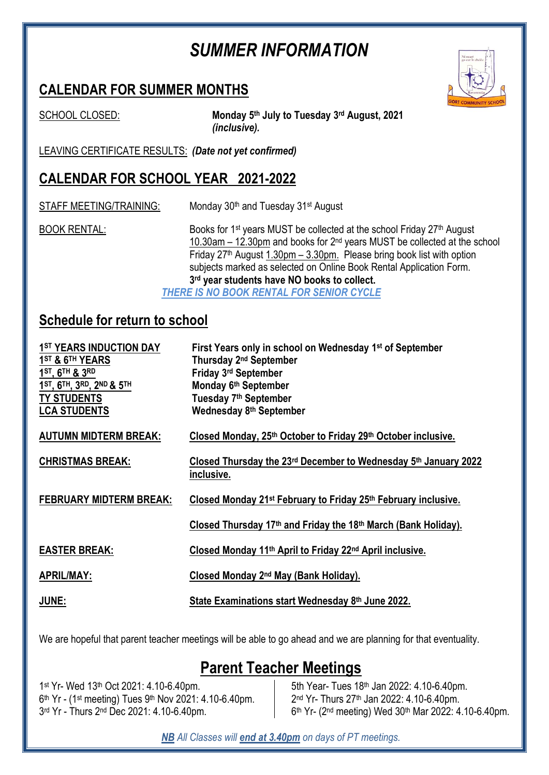# *SUMMER INFORMATION*

### **CALENDAR FOR SUMMER MONTHS**



SCHOOL CLOSED:

**th July to Tuesday 3 rd August, 2021** *(inclusive).*

LEAVING CERTIFICATE RESULTS: *(Date not yet confirmed)*

## **CALENDAR FOR SCHOOL YEAR 2021-2022**

STAFF MEETING/TRAINING: Monday 30<sup>th</sup> and Tuesday 31<sup>st</sup> August

BOOK RENTAL: Books for 1<sup>st</sup> years MUST be collected at the school Friday 27<sup>th</sup> August 10.30am – 12.30pm and books for 2<sup>nd</sup> years MUST be collected at the school Friday  $27<sup>th</sup>$  August 1.30pm – 3.30pm. Please bring book list with option subjects marked as selected on Online Book Rental Application Form. **3 rd year students have NO books to collect.**

*THERE IS NO BOOK RENTAL FOR SENIOR CYCLE*

### **Schedule for return to school**

| 1ST YEARS INDUCTION DAY<br>1 <sup>ST</sup> & 6 <sup>TH</sup> YEARS<br>1ST, 6TH & 3RD<br>1ST, 6TH, 3RD, 2ND & 5TH<br><b>TY STUDENTS</b><br><b>LCA STUDENTS</b> | First Years only in school on Wednesday 1 <sup>st</sup> of September<br>Thursday 2 <sup>nd</sup> September<br>Friday 3rd September<br>Monday 6th September<br>Tuesday 7 <sup>th</sup> September<br>Wednesday 8th September |
|---------------------------------------------------------------------------------------------------------------------------------------------------------------|----------------------------------------------------------------------------------------------------------------------------------------------------------------------------------------------------------------------------|
| <b>AUTUMN MIDTERM BREAK:</b>                                                                                                                                  | Closed Monday, 25th October to Friday 29th October inclusive.                                                                                                                                                              |
| <b>CHRISTMAS BREAK:</b>                                                                                                                                       | Closed Thursday the 23rd December to Wednesday 5th January 2022<br>inclusive.                                                                                                                                              |
| <b>FEBRUARY MIDTERM BREAK:</b>                                                                                                                                | Closed Monday 21 <sup>st</sup> February to Friday 25 <sup>th</sup> February inclusive.                                                                                                                                     |
|                                                                                                                                                               | Closed Thursday 17 <sup>th</sup> and Friday the 18 <sup>th</sup> March (Bank Holiday).                                                                                                                                     |
| <b>EASTER BREAK:</b>                                                                                                                                          | Closed Monday 11 <sup>th</sup> April to Friday 22 <sup>nd</sup> April inclusive.                                                                                                                                           |
| <b>APRIL/MAY:</b>                                                                                                                                             | Closed Monday 2 <sup>nd</sup> May (Bank Holiday).                                                                                                                                                                          |
| <b>JUNE:</b>                                                                                                                                                  | State Examinations start Wednesday 8th June 2022.                                                                                                                                                                          |

We are hopeful that parent teacher meetings will be able to go ahead and we are planning for that eventuality.

## **Parent Teacher Meetings**

1 st Yr- Wed 13th Oct 2021: 4.10-6.40pm. 6<sup>th</sup> Yr - (1<sup>st</sup> meeting) Tues 9<sup>th</sup> Nov 2021: 4.10-6.40pm. 3 rd Yr - Thurs 2 nd Dec 2021: 4.10-6.40pm.

5th Year- Tues 18th Jan 2022: 4.10-6.40pm. 2<sup>nd</sup> Yr- Thurs 27<sup>th</sup> Jan 2022: 4.10-6.40pm. 6<sup>th</sup> Yr- (2<sup>nd</sup> meeting) Wed 30<sup>th</sup> Mar 2022: 4.10-6.40pm.

*NB All Classes will end at 3.40pm on days of PT meetings.*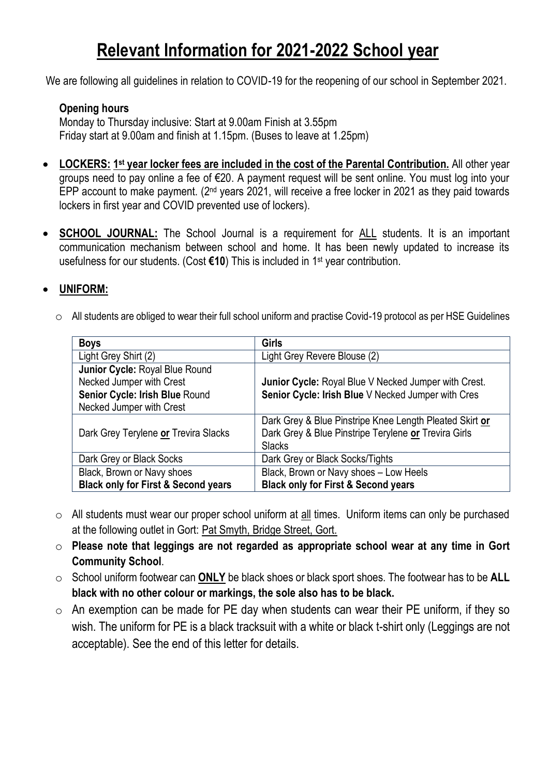# **Relevant Information for 2021-2022 School year**

We are following all guidelines in relation to COVID-19 for the reopening of our school in September 2021.

#### **Opening hours**

Monday to Thursday inclusive: Start at 9.00am Finish at 3.55pm Friday start at 9.00am and finish at 1.15pm. (Buses to leave at 1.25pm)

- **•** LOCKERS: 1<sup>st</sup> year locker fees are included in the cost of the Parental Contribution. All other year groups need to pay online a fee of €20. A payment request will be sent online. You must log into your EPP account to make payment. ( $2<sup>nd</sup>$  years 2021, will receive a free locker in 2021 as they paid towards lockers in first year and COVID prevented use of lockers).
- **SCHOOL JOURNAL:** The School Journal is a requirement for ALL students. It is an important communication mechanism between school and home. It has been newly updated to increase its usefulness for our students. (Cost **€10**) This is included in 1st year contribution.

#### **UNIFORM:**

o All students are obliged to wear their full school uniform and practise Covid-19 protocol as per HSE Guidelines

| <b>Boys</b>                                    | <b>Girls</b>                                            |
|------------------------------------------------|---------------------------------------------------------|
| Light Grey Shirt (2)                           | Light Grey Revere Blouse (2)                            |
| Junior Cycle: Royal Blue Round                 |                                                         |
| Necked Jumper with Crest                       | Junior Cycle: Royal Blue V Necked Jumper with Crest.    |
| Senior Cycle: Irish Blue Round                 | Senior Cycle: Irish Blue V Necked Jumper with Cres      |
| Necked Jumper with Crest                       |                                                         |
|                                                | Dark Grey & Blue Pinstripe Knee Length Pleated Skirt or |
| Dark Grey Terylene or Trevira Slacks           | Dark Grey & Blue Pinstripe Terylene or Trevira Girls    |
|                                                | <b>Slacks</b>                                           |
| Dark Grey or Black Socks                       | Dark Grey or Black Socks/Tights                         |
| Black, Brown or Navy shoes                     | Black, Brown or Navy shoes - Low Heels                  |
| <b>Black only for First &amp; Second years</b> | <b>Black only for First &amp; Second years</b>          |

- o All students must wear our proper school uniform at all times. Uniform items can only be purchased at the following outlet in Gort: Pat Smyth, Bridge Street, Gort.
- o **Please note that leggings are not regarded as appropriate school wear at any time in Gort Community School**.
- o School uniform footwear can **ONLY** be black shoes or black sport shoes. The footwear has to be **ALL black with no other colour or markings, the sole also has to be black.**
- $\circ$  An exemption can be made for PE day when students can wear their PE uniform, if they so wish. The uniform for PE is a black tracksuit with a white or black t-shirt only (Leggings are not acceptable). See the end of this letter for details.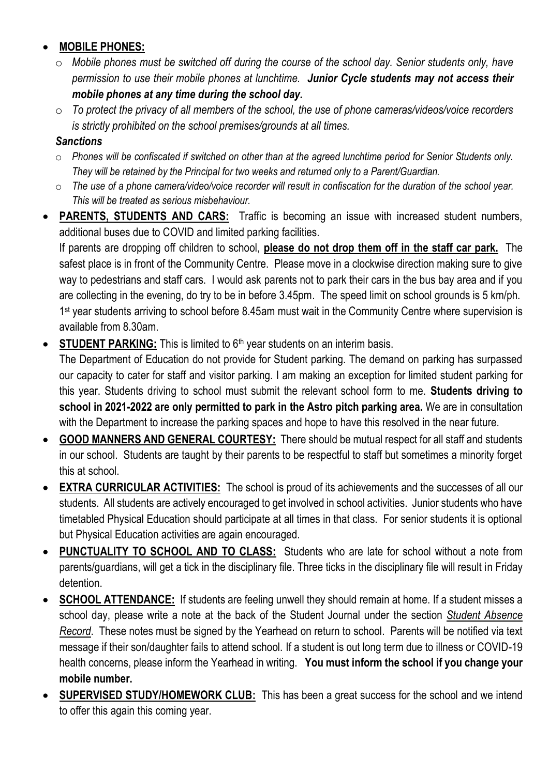#### **MOBILE PHONES:**

- o *Mobile phones must be switched off during the course of the school day. Senior students only, have permission to use their mobile phones at lunchtime. Junior Cycle students may not access their mobile phones at any time during the school day.*
- o *To protect the privacy of all members of the school, the use of phone cameras/videos/voice recorders is strictly prohibited on the school premises/grounds at all times.*

#### *Sanctions*

- o *Phones will be confiscated if switched on other than at the agreed lunchtime period for Senior Students only. They will be retained by the Principal for two weeks and returned only to a Parent/Guardian.*
- o *The use of a phone camera/video/voice recorder will result in confiscation for the duration of the school year. This will be treated as serious misbehaviour.*
- **PARENTS, STUDENTS AND CARS:** Traffic is becoming an issue with increased student numbers, additional buses due to COVID and limited parking facilities.

If parents are dropping off children to school, **please do not drop them off in the staff car park.** The safest place is in front of the Community Centre. Please move in a clockwise direction making sure to give way to pedestrians and staff cars. I would ask parents not to park their cars in the bus bay area and if you are collecting in the evening, do try to be in before 3.45pm. The speed limit on school grounds is 5 km/ph. 1<sup>st</sup> year students arriving to school before 8.45am must wait in the Community Centre where supervision is available from 8.30am.

**STUDENT PARKING:** This is limited to 6<sup>th</sup> year students on an interim basis.

The Department of Education do not provide for Student parking. The demand on parking has surpassed our capacity to cater for staff and visitor parking. I am making an exception for limited student parking for this year. Students driving to school must submit the relevant school form to me. **Students driving to school in 2021-2022 are only permitted to park in the Astro pitch parking area.** We are in consultation with the Department to increase the parking spaces and hope to have this resolved in the near future.

- **GOOD MANNERS AND GENERAL COURTESY:** There should be mutual respect for all staff and students in our school. Students are taught by their parents to be respectful to staff but sometimes a minority forget this at school.
- **EXTRA CURRICULAR ACTIVITIES:** The school is proud of its achievements and the successes of all our students. All students are actively encouraged to get involved in school activities. Junior students who have timetabled Physical Education should participate at all times in that class. For senior students it is optional but Physical Education activities are again encouraged.
- **PUNCTUALITY TO SCHOOL AND TO CLASS:** Students who are late for school without a note from parents/guardians, will get a tick in the disciplinary file. Three ticks in the disciplinary file will result in Friday detention.
- **SCHOOL ATTENDANCE:** If students are feeling unwell they should remain at home. If a student misses a school day, please write a note at the back of the Student Journal under the section *Student Absence Record*. These notes must be signed by the Yearhead on return to school. Parents will be notified via text message if their son/daughter fails to attend school. If a student is out long term due to illness or COVID-19 health concerns, please inform the Yearhead in writing. **You must inform the school if you change your mobile number.**
- **SUPERVISED STUDY/HOMEWORK CLUB:** This has been a great success for the school and we intend to offer this again this coming year.